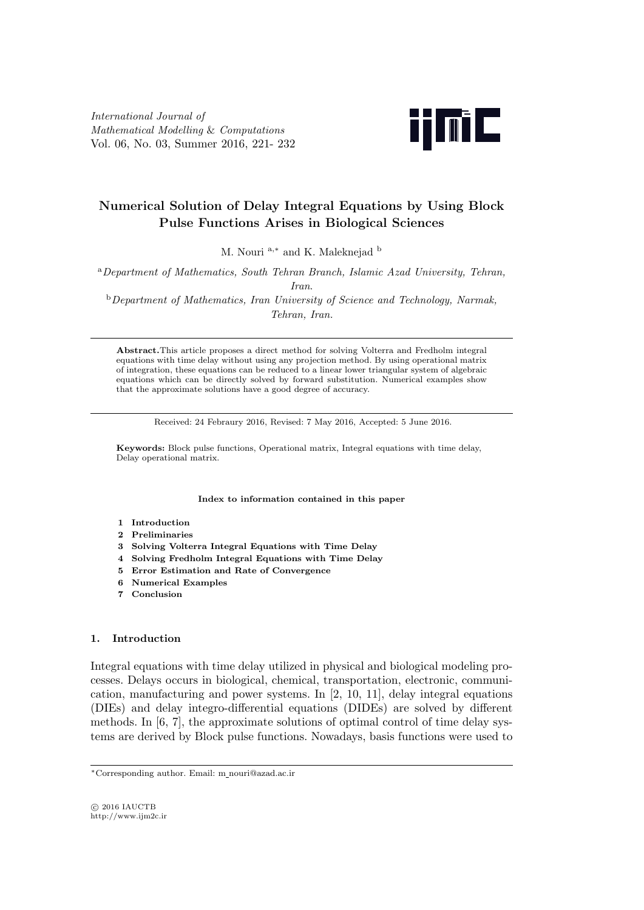*International Journal of Mathematical Modelling* & *Computations* Vol. 06, No. 03, Summer 2016, 221- 232



# **Numerical Solution of Delay Integral Equations by Using Block Pulse Functions Arises in Biological Sciences**

M. Nouri <sup>a</sup>*,<sup>∗</sup>* and K. Maleknejad <sup>b</sup>

<sup>a</sup>*Department of Mathematics, South Tehran Branch, Islamic Azad University, Tehran, Iran*.

<sup>b</sup>*Department of Mathematics, Iran University of Science and Technology, Narmak, Tehran, Iran.*

**Abstract.**This article proposes a direct method for solving Volterra and Fredholm integral equations with time delay without using any projection method. By using operational matrix of integration, these equations can be reduced to a linear lower triangular system of algebraic equations which can be directly solved by forward substitution. Numerical examples show that the approximate solutions have a good degree of accuracy.

Received: 24 Febraury 2016, Revised: 7 May 2016, Accepted: 5 June 2016.

**Keywords:** Block pulse functions, Operational matrix, Integral equations with time delay, Delay operational matrix.

**Index to information contained in this paper**

- **1 Introduction**
- **2 Preliminaries**
- **3 Solving Volterra Integral Equations with Time Delay**
- **4 Solving Fredholm Integral Equations with Time Delay**
- **5 Error Estimation and Rate of Convergence**
- **6 Numerical Examples**
- **7 Conclusion**

## **1. Introduction**

Integral equations with time delay utilized in physical and biological modeling processes. Delays occurs in biological, chemical, transportation, electronic, communication, manufacturing and power systems. In [2, 10, 11], delay integral equations (DIEs) and delay integro-differential equations (DIDEs) are solved by different methods. In [6, 7], the approximate solutions of optimal control of time delay systems are derived by Block pulse functions. Nowadays, basis functions were used to

*⃝*c 2016 IAUCTB http://www.ijm2c.ir

*<sup>∗</sup>*Corresponding author. Email: m nouri@azad.ac.ir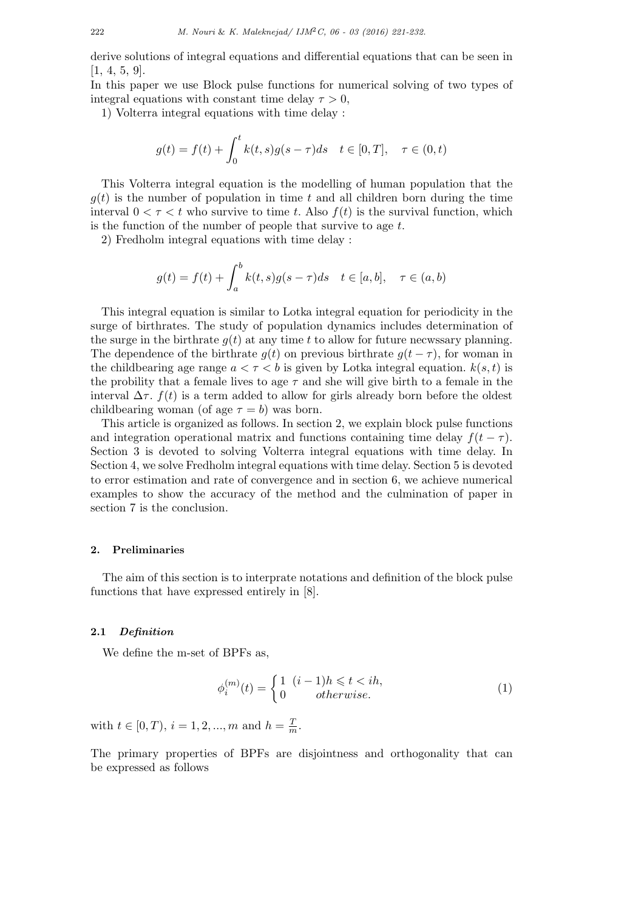derive solutions of integral equations and differential equations that can be seen in [1, 4, 5, 9].

In this paper we use Block pulse functions for numerical solving of two types of integral equations with constant time delay  $\tau > 0$ ,

1) Volterra integral equations with time delay :

$$
g(t) = f(t) + \int_0^t k(t, s)g(s - \tau)ds \quad t \in [0, T], \quad \tau \in (0, t)
$$

This Volterra integral equation is the modelling of human population that the  $g(t)$  is the number of population in time  $t$  and all children born during the time interval  $0 < \tau < t$  who survive to time *t*. Also  $f(t)$  is the survival function, which is the function of the number of people that survive to age *t*.

2) Fredholm integral equations with time delay :

$$
g(t) = f(t) + \int_a^b k(t,s)g(s-\tau)ds \quad t \in [a,b], \quad \tau \in (a,b)
$$

This integral equation is similar to Lotka integral equation for periodicity in the surge of birthrates. The study of population dynamics includes determination of the surge in the birthrate  $q(t)$  at any time *t* to allow for future necwssary planning. The dependence of the birthrate  $q(t)$  on previous birthrate  $q(t - \tau)$ , for woman in the childbearing age range  $a < \tau < b$  is given by Lotka integral equation.  $k(s, t)$  is the probility that a female lives to age  $\tau$  and she will give birth to a female in the interval  $\Delta \tau$ .  $f(t)$  is a term added to allow for girls already born before the oldest childbearing woman (of age  $\tau = b$ ) was born.

This article is organized as follows. In section 2, we explain block pulse functions and integration operational matrix and functions containing time delay  $f(t-\tau)$ . Section 3 is devoted to solving Volterra integral equations with time delay. In Section 4, we solve Fredholm integral equations with time delay. Section 5 is devoted to error estimation and rate of convergence and in section 6, we achieve numerical examples to show the accuracy of the method and the culmination of paper in section 7 is the conclusion.

## **2. Preliminaries**

The aim of this section is to interprate notations and definition of the block pulse functions that have expressed entirely in [8].

## **2.1** *Definition*

We define the m-set of BPFs as,

$$
\phi_i^{(m)}(t) = \begin{cases} 1 & (i-1)h \leq t < ih, \\ 0 & otherwise. \end{cases} \tag{1}
$$

with  $t \in [0, T), i = 1, 2, ..., m$  and  $h = \frac{T}{n}$  $\frac{1}{m}$ .

The primary properties of BPFs are disjointness and orthogonality that can be expressed as follows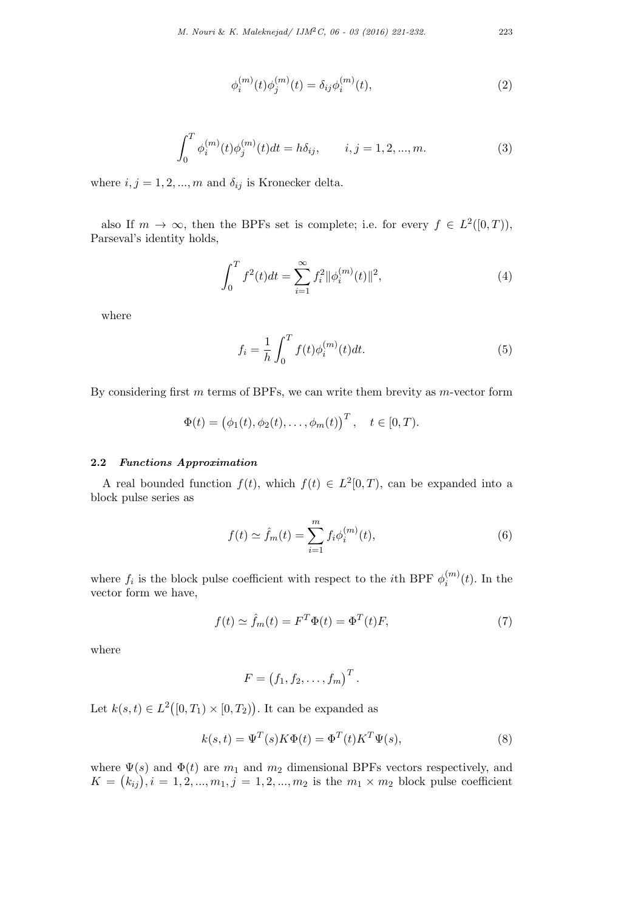$$
\phi_i^{(m)}(t)\phi_j^{(m)}(t) = \delta_{ij}\phi_i^{(m)}(t),\tag{2}
$$

$$
\int_0^T \phi_i^{(m)}(t)\phi_j^{(m)}(t)dt = h\delta_{ij}, \qquad i, j = 1, 2, ..., m.
$$
 (3)

where  $i, j = 1, 2, ..., m$  and  $\delta_{ij}$  is Kronecker delta.

also If  $m \to \infty$ , then the BPFs set is complete; i.e. for every  $f \in L^2([0,T))$ , Parseval's identity holds,

$$
\int_0^T f^2(t)dt = \sum_{i=1}^\infty f_i^2 \|\phi_i^{(m)}(t)\|^2,\tag{4}
$$

where

$$
f_i = \frac{1}{h} \int_0^T f(t) \phi_i^{(m)}(t) dt.
$$
 (5)

By considering first *m* terms of BPFs, we can write them brevity as *m*-vector form

$$
\Phi(t) = (\phi_1(t), \phi_2(t), \dots, \phi_m(t))^T, \quad t \in [0, T).
$$

## **2.2** *Functions Approximation*

A real bounded function  $f(t)$ , which  $f(t) \in L^2[0,T)$ , can be expanded into a block pulse series as

$$
f(t) \simeq \hat{f}_m(t) = \sum_{i=1}^m f_i \phi_i^{(m)}(t),
$$
 (6)

where  $f_i$  is the block pulse coefficient with respect to the *i*th BPF  $\phi_i^{(m)}$  $b_i^{(m)}(t)$ . In the vector form we have,

$$
f(t) \simeq \hat{f}_m(t) = F^T \Phi(t) = \Phi^T(t) F, \tag{7}
$$

where

$$
F = (f_1, f_2, \ldots, f_m)^T.
$$

Let  $k(s,t) \in L^2([0,T_1) \times [0,T_2))$ . It can be expanded as

$$
k(s,t) = \Psi^T(s)K\Phi(t) = \Phi^T(t)K^T\Psi(s),
$$
\n(8)

where  $\Psi(s)$  and  $\Phi(t)$  are  $m_1$  and  $m_2$  dimensional BPFs vectors respectively, and  $K = (k_{ij}), i = 1, 2, ..., m_1, j = 1, 2, ..., m_2$  is the  $m_1 \times m_2$  block pulse coefficient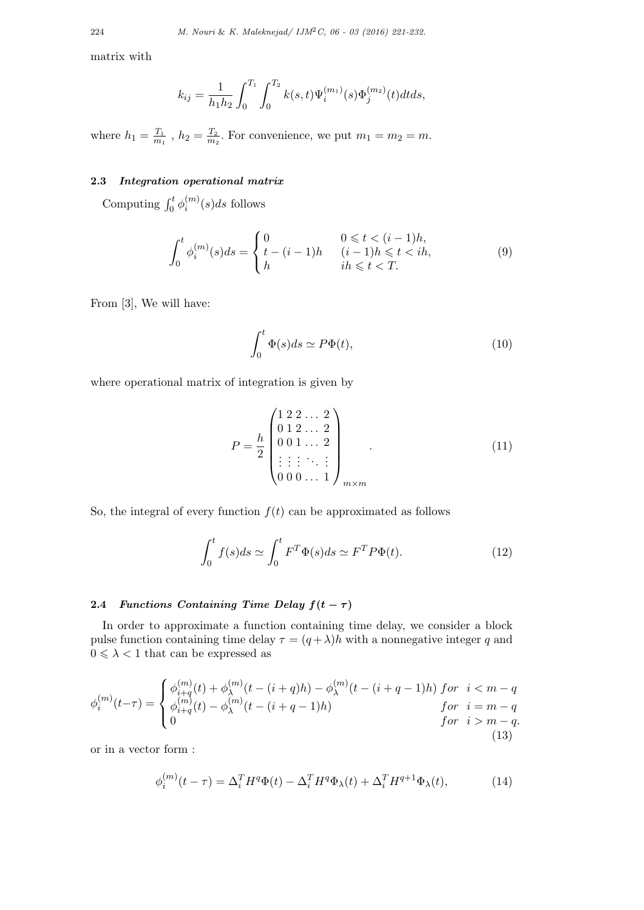matrix with

$$
k_{ij} = \frac{1}{h_1 h_2} \int_0^{T_1} \int_0^{T_2} k(s, t) \Psi_i^{(m_1)}(s) \Phi_j^{(m_2)}(t) dt ds,
$$

where  $h_1 = \frac{T_1}{m_1}$  $\frac{T_1}{m_1}$  ,  $h_2 = \frac{T_2}{m_2}$  $\frac{T_2}{m_2}$ . For convenience, we put  $m_1 = m_2 = m$ .

### **2.3** *Integration operational matrix*

Computing  $\int_0^t \phi_i^{(m)}$  $a_i^{(m)}(s)ds$  follows

$$
\int_0^t \phi_i^{(m)}(s)ds = \begin{cases} 0 & 0 \le t < (i-1)h, \\ t - (i-1)h & (i-1)h \le t < ih, \\ h & ih \le t < T. \end{cases}
$$
(9)

From [3], We will have:

$$
\int_0^t \Phi(s)ds \simeq P\Phi(t),\tag{10}
$$

where operational matrix of integration is given by

$$
P = \frac{h}{2} \begin{pmatrix} 1 & 2 & 2 & \dots & 2 \\ 0 & 1 & 2 & \dots & 2 \\ 0 & 0 & 1 & \dots & 2 \\ \vdots & \vdots & \vdots & \ddots & \vdots \\ 0 & 0 & 0 & \dots & 1 \end{pmatrix}_{m \times m} .
$$
 (11)

So, the integral of every function  $f(t)$  can be approximated as follows

$$
\int_0^t f(s)ds \simeq \int_0^t F^T \Phi(s)ds \simeq F^T P \Phi(t). \tag{12}
$$

# **2.4** *Functions Containing Time Delay*  $f(t - \tau)$

In order to approximate a function containing time delay, we consider a block pulse function containing time delay  $\tau = (q + \lambda)h$  with a nonnegative integer q and  $0\leqslant\lambda<1$  that can be expressed as

$$
\phi_i^{(m)}(t-\tau) = \begin{cases} \phi_{i+q}^{(m)}(t) + \phi_{\lambda}^{(m)}(t - (i+q)h) - \phi_{\lambda}^{(m)}(t - (i+q-1)h) & \text{for } i < m-q \\ \phi_{i+q}^{(m)}(t) - \phi_{\lambda}^{(m)}(t - (i+q-1)h) & \text{for } i = m-q \\ 0 & \text{for } i > m-q. \end{cases}
$$
\n(13)

or in a vector form :

$$
\phi_i^{(m)}(t-\tau) = \Delta_i^T H^q \Phi(t) - \Delta_i^T H^q \Phi_\lambda(t) + \Delta_i^T H^{q+1} \Phi_\lambda(t),\tag{14}
$$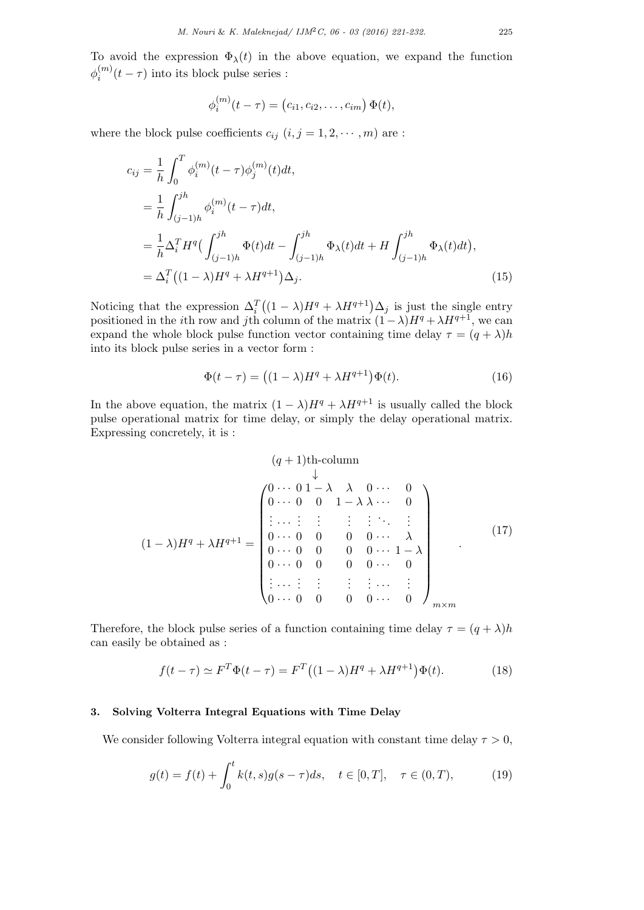To avoid the expression  $\Phi_{\lambda}(t)$  in the above equation, we expand the function  $\phi_i^{(m)}$  $\int_i^{(m)} (t - \tau)$  into its block pulse series :

$$
\phi_i^{(m)}(t-\tau) = (c_{i1}, c_{i2}, \dots, c_{im}) \Phi(t),
$$

where the block pulse coefficients  $c_{ij}$   $(i, j = 1, 2, \dots, m)$  are :

$$
c_{ij} = \frac{1}{h} \int_0^T \phi_i^{(m)}(t - \tau) \phi_j^{(m)}(t) dt,
$$
  
\n
$$
= \frac{1}{h} \int_{(j-1)h}^{jh} \phi_i^{(m)}(t - \tau) dt,
$$
  
\n
$$
= \frac{1}{h} \Delta_i^T H^q \Big( \int_{(j-1)h}^{jh} \Phi(t) dt - \int_{(j-1)h}^{jh} \Phi_\lambda(t) dt + H \int_{(j-1)h}^{jh} \Phi_\lambda(t) dt \Big),
$$
  
\n
$$
= \Delta_i^T \Big( (1 - \lambda) H^q + \lambda H^{q+1} \Big) \Delta_j.
$$
\n(15)

Noticing that the expression  $\Delta_i^T((1-\lambda)H^q + \lambda H^{q+1})\Delta_j$  is just the single entry positioned in the *i*th row and *j*th column of the matrix  $(1 - \lambda)H^q + \lambda H^{q+1}$ , we can expand the whole block pulse function vector containing time delay  $\tau = (q + \lambda)h$ into its block pulse series in a vector form :

$$
\Phi(t-\tau) = ((1-\lambda)H^q + \lambda H^{q+1})\Phi(t). \tag{16}
$$

In the above equation, the matrix  $(1 - \lambda)H^q + \lambda H^{q+1}$  is usually called the block pulse operational matrix for time delay, or simply the delay operational matrix. Expressing concretely, it is :

$$
(q+1)th\text{-column}
$$
\n
$$
\downarrow
$$
\n
$$
\left(\begin{array}{ccccccccc}\n0 & \cdots & 0 & 1 & -\lambda & \lambda & 0 & \cdots & 0 \\
0 & \cdots & 0 & 0 & 1 & -\lambda & \lambda & \cdots & 0 \\
\vdots & \cdots & \vdots & \vdots & \vdots & \vdots & \ddots & \vdots \\
0 & \cdots & 0 & 0 & 0 & 0 & \cdots & \lambda \\
0 & \cdots & 0 & 0 & 0 & 0 & \cdots & 1 & -\lambda \\
0 & \cdots & 0 & 0 & 0 & 0 & \cdots & 0 \\
\vdots & \cdots & \vdots & \vdots & \vdots & \vdots & \cdots & \vdots \\
0 & \cdots & 0 & 0 & 0 & \cdots & 0\n\end{array}\right)_{m \times m} (17)
$$

Therefore, the block pulse series of a function containing time delay  $\tau = (q + \lambda)h$ can easily be obtained as :

$$
f(t-\tau) \simeq F^T \Phi(t-\tau) = F^T \big( (1-\lambda)H^q + \lambda H^{q+1} \big) \Phi(t). \tag{18}
$$

### **3. Solving Volterra Integral Equations with Time Delay**

We consider following Volterra integral equation with constant time delay  $\tau > 0$ ,

$$
g(t) = f(t) + \int_0^t k(t, s)g(s - \tau)ds, \quad t \in [0, T], \quad \tau \in (0, T), \tag{19}
$$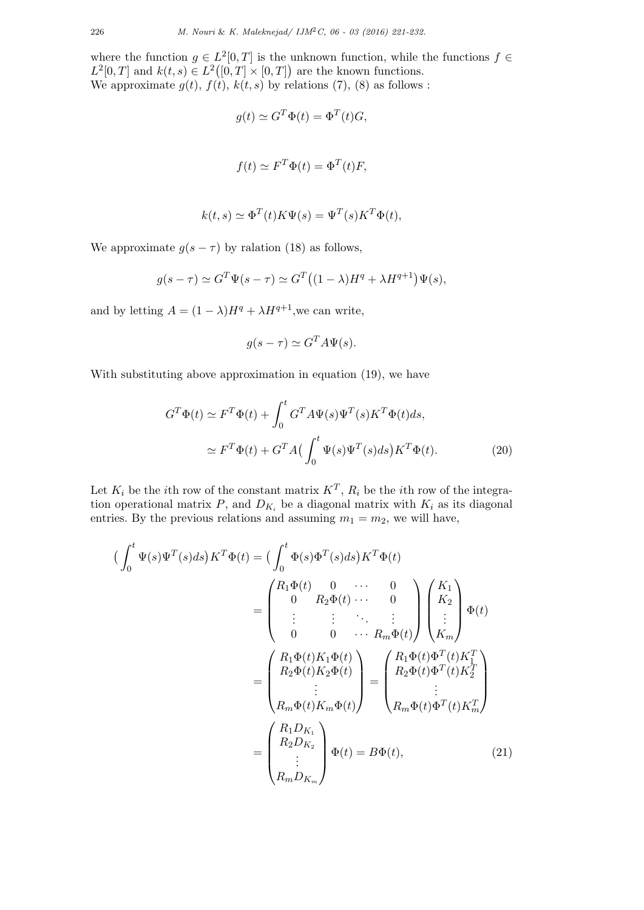where the function  $g \in L^2[0,T]$  is the unknown function, while the functions  $f \in$  $L^2[0,T]$  and  $k(t,s) \in L^2([0,T] \times [0,T])$  are the known functions. We approximate  $g(t)$ ,  $f(t)$ ,  $k(t, s)$  by relations (7), (8) as follows :

$$
g(t) \simeq G^T \Phi(t) = \Phi^T(t) G,
$$

$$
f(t) \simeq F^T \Phi(t) = \Phi^T(t) F,
$$

$$
k(t,s) \simeq \Phi^T(t) K \Psi(s) = \Psi^T(s) K^T \Phi(t),
$$

We approximate  $g(s - \tau)$  by ralation (18) as follows,

$$
g(s-\tau) \simeq G^T \Psi(s-\tau) \simeq G^T \big( (1-\lambda)H^q + \lambda H^{q+1} \big) \Psi(s),
$$

and by letting  $A = (1 - \lambda)H^q + \lambda H^{q+1}$ , we can write,

$$
g(s - \tau) \simeq G^T A \Psi(s).
$$

With substituting above approximation in equation (19), we have

$$
G^T \Phi(t) \simeq F^T \Phi(t) + \int_0^t G^T A \Psi(s) \Psi^T(s) K^T \Phi(t) ds,
$$
  

$$
\simeq F^T \Phi(t) + G^T A \left( \int_0^t \Psi(s) \Psi^T(s) ds \right) K^T \Phi(t).
$$
 (20)

Let  $K_i$  be the *i*th row of the constant matrix  $K^T$ ,  $R_i$  be the *i*th row of the integration operational matrix  $P$ , and  $D_{K_i}$  be a diagonal matrix with  $K_i$  as its diagonal entries. By the previous relations and assuming  $m_1 = m_2$ , we will have,

$$
\begin{aligned}\n\left(\int_{0}^{t} \Psi(s)\Psi^{T}(s)ds\right)K^{T}\Phi(t) &= \left(\int_{0}^{t} \Phi(s)\Phi^{T}(s)ds\right)K^{T}\Phi(t) \\
&= \begin{pmatrix} R_{1}\Phi(t) & 0 & \cdots & 0 \\ 0 & R_{2}\Phi(t) & \cdots & 0 \\ \vdots & \vdots & \ddots & \vdots \\ 0 & 0 & \cdots & R_{m}\Phi(t) \end{pmatrix} \begin{pmatrix} K_{1} \\ K_{2} \\ \vdots \\ K_{m} \end{pmatrix} \Phi(t) \\
&= \begin{pmatrix} R_{1}\Phi(t)K_{1}\Phi(t) \\ R_{2}\Phi(t)K_{2}\Phi(t) \\ \vdots \\ R_{m}\Phi(t)K_{m}\Phi(t) \end{pmatrix} = \begin{pmatrix} R_{1}\Phi(t)\Phi^{T}(t)K_{1}^{T} \\ R_{2}\Phi(t)\Phi^{T}(t)K_{2}^{T} \\ \vdots \\ R_{m}\Phi(t)\Phi^{T}(t)K_{m}^{T} \end{pmatrix} \\
&= \begin{pmatrix} R_{1}D_{K_{1}} \\ R_{2}D_{K_{2}} \\ \vdots \\ R_{m}D_{K_{m}} \end{pmatrix} \Phi(t) = B\Phi(t),\n\end{aligned} \tag{21}
$$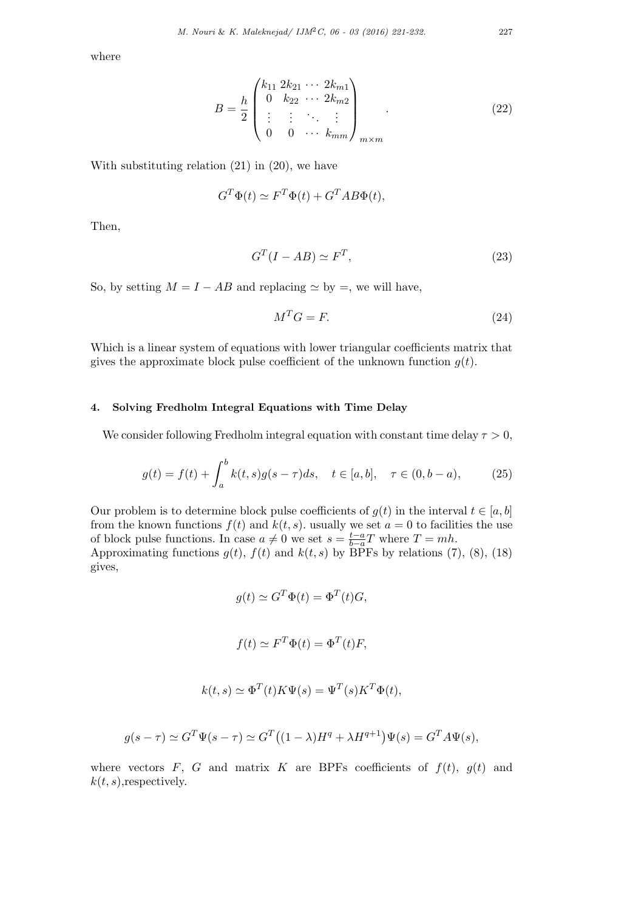where

$$
B = \frac{h}{2} \begin{pmatrix} k_{11} & 2k_{21} & \cdots & 2k_{m1} \\ 0 & k_{22} & \cdots & 2k_{m2} \\ \vdots & \vdots & \ddots & \vdots \\ 0 & 0 & \cdots & k_{mm} \end{pmatrix}_{m \times m} .
$$
 (22)

With substituting relation (21) in (20), we have

$$
G^T \Phi(t) \simeq F^T \Phi(t) + G^T A B \Phi(t),
$$

Then,

$$
G^T(I - AB) \simeq F^T,\tag{23}
$$

So, by setting  $M = I - AB$  and replacing  $\simeq$  by  $=$ , we will have,

$$
M^T G = F. \tag{24}
$$

Which is a linear system of equations with lower triangular coefficients matrix that gives the approximate block pulse coefficient of the unknown function  $g(t)$ .

## **4. Solving Fredholm Integral Equations with Time Delay**

We consider following Fredholm integral equation with constant time delay  $\tau > 0$ ,

$$
g(t) = f(t) + \int_{a}^{b} k(t,s)g(s-\tau)ds, \quad t \in [a,b], \quad \tau \in (0,b-a), \tag{25}
$$

Our problem is to determine block pulse coefficients of  $g(t)$  in the interval  $t \in [a, b]$ from the known functions  $f(t)$  and  $k(t, s)$ . usually we set  $a = 0$  to facilities the use of block pulse functions. In case  $a \neq 0$  we set  $s = \frac{t-a}{b-a}$  $\frac{t-a}{b-a}T$  where  $T = mh$ . Approximating functions  $g(t)$ ,  $f(t)$  and  $k(t, s)$  by BPFs by relations (7), (8), (18)

gives,

$$
g(t) \simeq G^T \Phi(t) = \Phi^T(t) G,
$$

$$
f(t) \simeq F^T \Phi(t) = \Phi^T(t) F,
$$

$$
k(t,s) \simeq \Phi^T(t) K \Psi(s) = \Psi^T(s) K^T \Phi(t),
$$

$$
g(s-\tau) \simeq G^T \Psi(s-\tau) \simeq G^T \big( (1-\lambda)H^q + \lambda H^{q+1} \big) \Psi(s) = G^T A \Psi(s),
$$

where vectors  $F$ ,  $G$  and matrix  $K$  are BPFs coefficients of  $f(t)$ ,  $g(t)$  and  $k(t, s)$ , respectively.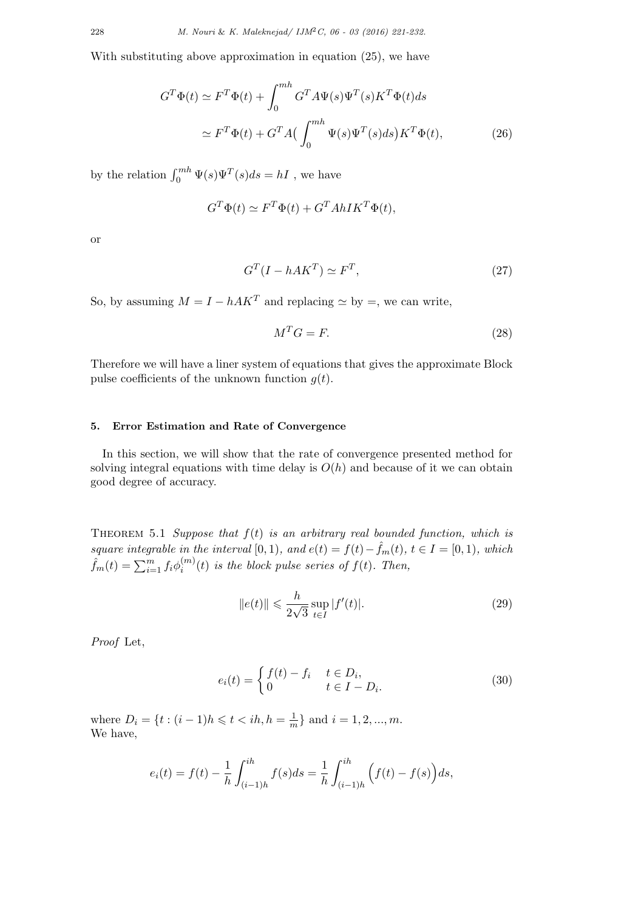With substituting above approximation in equation (25), we have

$$
G^T \Phi(t) \simeq F^T \Phi(t) + \int_0^{mh} G^T A \Psi(s) \Psi^T(s) K^T \Phi(t) ds
$$
  

$$
\simeq F^T \Phi(t) + G^T A \left( \int_0^{mh} \Psi(s) \Psi^T(s) ds \right) K^T \Phi(t), \tag{26}
$$

by the relation  $\int_0^{mh} \Psi(s)\Psi^T(s)ds = hI$ , we have

$$
G^T \Phi(t) \simeq F^T \Phi(t) + G^T AhIK^T \Phi(t),
$$

or

$$
G^T(I - hAK^T) \simeq F^T,\t\t(27)
$$

So, by assuming  $M = I - hAK^T$  and replacing  $\simeq$  by =, we can write,

$$
M^T G = F. \tag{28}
$$

Therefore we will have a liner system of equations that gives the approximate Block pulse coefficients of the unknown function  $g(t)$ .

## **5. Error Estimation and Rate of Convergence**

In this section, we will show that the rate of convergence presented method for solving integral equations with time delay is  $O(h)$  and because of it we can obtain good degree of accuracy.

Theorem 5.1 *Suppose that f*(*t*) *is an arbitrary real bounded function, which is square integrable in the interval* [0*,* 1*),* and  $e(t) = f(t) - \hat{f}_m(t)$ ,  $t \in I = [0, 1)$ *, which*  $\hat{f}_m(t) = \sum_{i=1}^m f_i \phi_i^{(m)}$  $\sum_{i}^{(m)}(t)$  *is the block pulse series of*  $f(t)$ *. Then,* 

$$
||e(t)|| \leq \frac{h}{2\sqrt{3}} \sup_{t \in I} |f'(t)|.
$$
 (29)

*Proof* Let,

$$
e_i(t) = \begin{cases} f(t) - f_i & t \in D_i, \\ 0 & t \in I - D_i. \end{cases}
$$
 (30)

where  $D_i = \{t : (i-1)h \leqslant t < ih, h = \frac{1}{n}\}$  $\frac{1}{m}$ } and *i* = 1*,* 2*, ..., m*. We have,

$$
e_i(t) = f(t) - \frac{1}{h} \int_{(i-1)h}^{ih} f(s)ds = \frac{1}{h} \int_{(i-1)h}^{ih} \left( f(t) - f(s) \right) ds,
$$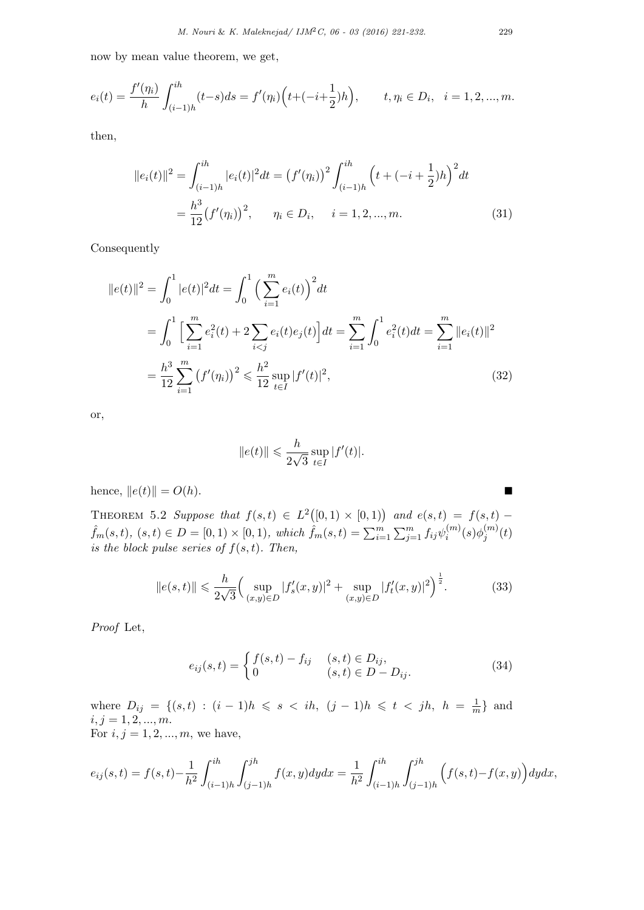now by mean value theorem, we get,

$$
e_i(t) = \frac{f'(\eta_i)}{h} \int_{(i-1)h}^{ih} (t-s)ds = f'(\eta_i) \left( t + (-i + \frac{1}{2})h \right), \qquad t, \eta_i \in D_i, \quad i = 1, 2, ..., m.
$$

then,

$$
||e_i(t)||^2 = \int_{(i-1)h}^{ih} |e_i(t)|^2 dt = (f'(\eta_i))^2 \int_{(i-1)h}^{ih} (t + (-i + \frac{1}{2})h)^2 dt
$$
  
=  $\frac{h^3}{12} (f'(\eta_i))^2$ ,  $\eta_i \in D_i$ ,  $i = 1, 2, ..., m$ . (31)

Consequently

$$
||e(t)||^2 = \int_0^1 |e(t)|^2 dt = \int_0^1 \left(\sum_{i=1}^m e_i(t)\right)^2 dt
$$
  
= 
$$
\int_0^1 \left[\sum_{i=1}^m e_i^2(t) + 2 \sum_{i < j} e_i(t) e_j(t)\right] dt = \sum_{i=1}^m \int_0^1 e_i^2(t) dt = \sum_{i=1}^m ||e_i(t)||^2
$$
  
= 
$$
\frac{h^3}{12} \sum_{i=1}^m (f'(\eta_i))^2 \leq \frac{h^2}{12} \sup_{t \in I} |f'(t)|^2,
$$
 (32)

or,

$$
||e(t)|| \leqslant \frac{h}{2\sqrt{3}} \sup_{t \in I} |f'(t)|.
$$

hence,  $||e(t)|| = O(h)$ . ■

THEOREM 5.2 *Suppose that*  $f(s,t) \in L^2([0,1) \times [0,1))$  and  $e(s,t) = f(s,t)$  $\hat{f}_m(s,t),\ (s,t)\in D=[0,1)\times[0,1),\ which\ \hat{f}_m(s,t)=\sum_{i=1}^m\sum_{j=1}^m f_{ij}\psi_i^{(m)}$  $\phi^{(m)}_i(s) \phi^{(m)}_j$  $j^{(m)}(t)$ *is the block pulse series of*  $f(s,t)$ *. Then,* 

$$
||e(s,t)|| \leq \frac{h}{2\sqrt{3}} \Big( \sup_{(x,y)\in D} |f_s'(x,y)|^2 + \sup_{(x,y)\in D} |f_t'(x,y)|^2 \Big)^{\frac{1}{2}}.
$$
 (33)

*Proof* Let,

$$
e_{ij}(s,t) = \begin{cases} f(s,t) - f_{ij} & (s,t) \in D_{ij}, \\ 0 & (s,t) \in D - D_{ij}. \end{cases}
$$
(34)

where  $D_{ij} = \{(s,t) : (i-1)h \le s < ih, (j-1)h \le t < jh, h = \frac{1}{n}$  $\frac{1}{m}$  and  $i, j = 1, 2, ..., m$ . For  $i, j = 1, 2, ..., m$ , we have,

$$
e_{ij}(s,t) = f(s,t) - \frac{1}{h^2} \int_{(i-1)h}^{ih} \int_{(j-1)h}^{jh} f(x,y) dy dx = \frac{1}{h^2} \int_{(i-1)h}^{ih} \int_{(j-1)h}^{jh} \left( f(s,t) - f(x,y) \right) dy dx,
$$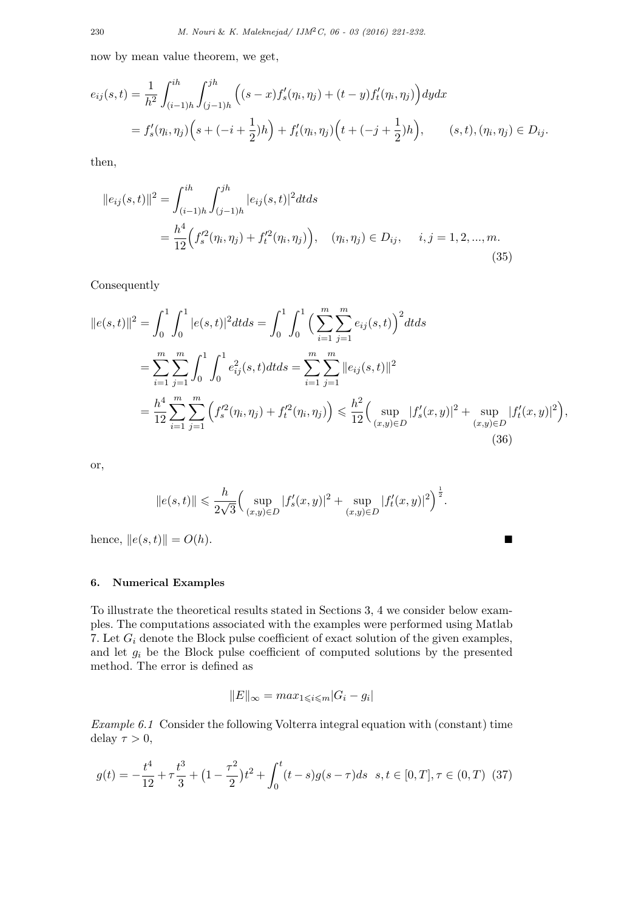now by mean value theorem, we get,

$$
e_{ij}(s,t) = \frac{1}{h^2} \int_{(i-1)h}^{ih} \int_{(j-1)h}^{jh} \left( (s-x)f_s'(\eta_i, \eta_j) + (t-y)f_t'(\eta_i, \eta_j) \right) dy dx
$$
  
=  $f_s'(\eta_i, \eta_j) \left( s + (-i + \frac{1}{2})h \right) + f_t'(\eta_i, \eta_j) \left( t + (-j + \frac{1}{2})h \right), \qquad (s, t), (\eta_i, \eta_j) \in D_{ij}.$ 

then,

$$
||e_{ij}(s,t)||^{2} = \int_{(i-1)h}^{ih} \int_{(j-1)h}^{jh} |e_{ij}(s,t)|^{2} dt ds
$$
  
= 
$$
\frac{h^{4}}{12} \Big( f_{s}^{'2}(\eta_{i}, \eta_{j}) + f_{t}^{'2}(\eta_{i}, \eta_{j}) \Big), \quad (\eta_{i}, \eta_{j}) \in D_{ij}, \quad i, j = 1, 2, ..., m.
$$
 (35)

Consequently

$$
||e(s,t)||^2 = \int_0^1 \int_0^1 |e(s,t)|^2 dt ds = \int_0^1 \int_0^1 \left(\sum_{i=1}^m \sum_{j=1}^m e_{ij}(s,t)\right)^2 dt ds
$$
  
= 
$$
\sum_{i=1}^m \sum_{j=1}^m \int_0^1 \int_0^1 e_{ij}^2(s,t) dt ds = \sum_{i=1}^m \sum_{j=1}^m ||e_{ij}(s,t)||^2
$$
  
= 
$$
\frac{h^4}{12} \sum_{i=1}^m \sum_{j=1}^m \left(f_s'^2(\eta_i, \eta_j) + f_t'^2(\eta_i, \eta_j)\right) \leq \frac{h^2}{12} \left(\sup_{(x,y)\in D} |f_s'(x,y)|^2 + \sup_{(x,y)\in D} |f_t'(x,y)|^2\right),
$$
(36)

or,

$$
||e(s,t)|| \le \frac{h}{2\sqrt{3}} \Big( \sup_{(x,y)\in D} |f'_s(x,y)|^2 + \sup_{(x,y)\in D} |f'_t(x,y)|^2 \Big)^{\frac{1}{2}}.
$$

hence,  $||e(s,t)|| = O(h)$ . ■

### **6. Numerical Examples**

To illustrate the theoretical results stated in Sections 3, 4 we consider below examples. The computations associated with the examples were performed using Matlab 7. Let *G<sup>i</sup>* denote the Block pulse coefficient of exact solution of the given examples, and let *g<sup>i</sup>* be the Block pulse coefficient of computed solutions by the presented method. The error is defined as

$$
||E||_{\infty} = max_{1 \leq i \leq m} |G_i - g_i|
$$

*Example 6.1* Consider the following Volterra integral equation with (constant) time delay  $\tau > 0$ ,

$$
g(t) = -\frac{t^4}{12} + \tau \frac{t^3}{3} + (1 - \frac{\tau^2}{2})t^2 + \int_0^t (t - s)g(s - \tau)ds \quad s, t \in [0, T], \tau \in (0, T) \tag{37}
$$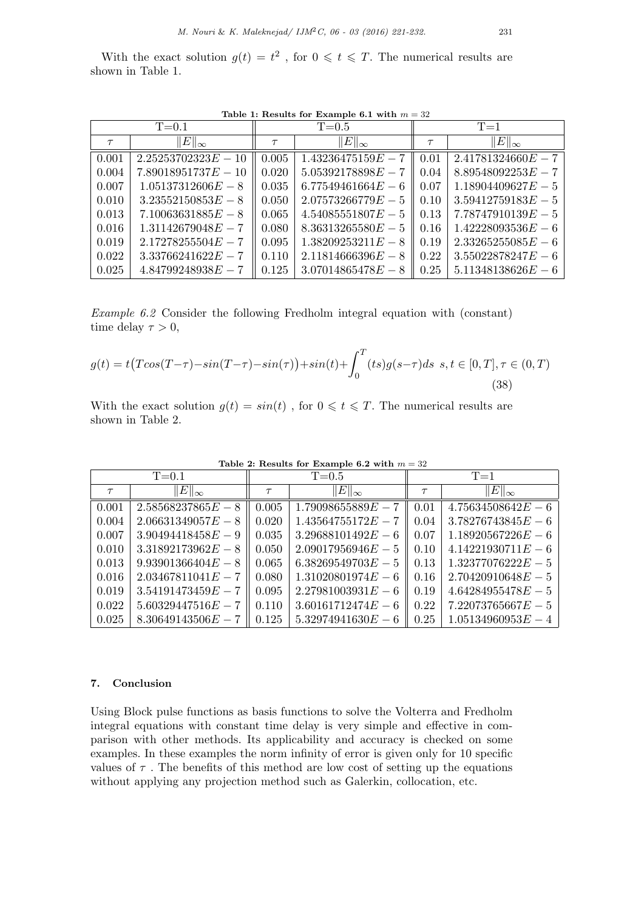With the exact solution  $g(t) = t^2$ , for  $0 \leq t \leq T$ . The numerical results are shown in Table 1.

Table 1: Results for Example 6.1 with  $m = 32$ 

| $T = 0.1$ |                       | $T = 0.5$ |                      | $T=1$  |                      |
|-----------|-----------------------|-----------|----------------------|--------|----------------------|
| $\tau$    | $  E  _{\infty}$      | $\tau$    | $\ E\ _{\infty}$     | $\tau$ | $\ E\ _{\infty}$     |
| 0.001     | $2.25253702323E - 10$ | 0.005     | $1.43236475159E - 7$ | 0.01   | $2.41781324660E - 7$ |
| 0.004     | $7.89018951737E-10$   | 0.020     | $5.05392178898E - 7$ | 0.04   | $8.89548092253E - 7$ |
| 0.007     | $1.05137312606E-8$    | 0.035     | $6.77549461664E - 6$ | 0.07   | $1.18904409627E-5$   |
| 0.010     | $3.23552150853E-8$    | 0.050     | $2.07573266779E - 5$ | 0.10   | $3.59412759183E-5$   |
| 0.013     | $7.10063631885E - 8$  | 0.065     | $4.54085551807E-5$   | 0.13   | $7.78747910139E - 5$ |
| 0.016     | $1.31142679048E - 7$  | 0.080     | $8.36313265580E-5$   | 0.16   | $1.42228093536E-6$   |
| 0.019     | $2.17278255504E - 7$  | 0.095     | $1.38209253211E-8$   | 0.19   | $2.33265255085E-6$   |
| 0.022     | $3.33766241622E - 7$  | 0.110     | $2.11814666396E - 8$ | 0.22   | $3.55022878247E - 6$ |
| 0.025     | $4.84799248938E - 7$  | 0.125     | $3.07014865478E - 8$ | 0.25   | $5.11348138626E-6$   |

*Example 6.2* Consider the following Fredholm integral equation with (constant) time delay  $\tau > 0$ ,

$$
g(t) = t \left( T\cos(T-\tau) - \sin(T-\tau) - \sin(\tau) \right) + \sin(t) + \int_0^T (ts)g(s-\tau)ds \ \ s, t \in [0, T], \tau \in (0, T)
$$
\n(38)

With the exact solution  $g(t) = \sin(t)$ , for  $0 \leq t \leq T$ . The numerical results are shown in Table 2.

| $T = 0.1$ |                      | $\overline{T=0.5}$ |                      | $T=1$  |                      |
|-----------|----------------------|--------------------|----------------------|--------|----------------------|
| $\tau$    | $\ E\ _{\infty}$     | $\tau$             | $\ E\ _{\infty}$     | $\tau$ | $  E  _{\infty}$     |
| 0.001     | $2.58568237865E-8$   | 0.005              | $1.79098655889E - 7$ | 0.01   | $4.75634508642E - 6$ |
| 0.004     | $2.06631349057E-8$   | 0.020              | $1.43564755172E - 7$ | 0.04   | $3.78276743845E - 6$ |
| 0.007     | $3.90494418458E-9$   | 0.035              | $3.29688101492E - 6$ | 0.07   | $1.18920567226E - 6$ |
| 0.010     | $3.31892173962E - 8$ | 0.050              | $2.09017956946E - 5$ | 0.10   | $4.14221930711E-6$   |
| 0.013     | $9.93901366404E - 8$ | 0.065              | $6.38269549703E-5$   | 0.13   | $1.32377076222E - 5$ |
| 0.016     | $2.03467811041E - 7$ | 0.080              | $1.31020801974E - 6$ | 0.16   | $2.70420910648E - 5$ |
| 0.019     | $3.54191473459E - 7$ | 0.095              | $2.27981003931E-6$   | 0.19   | $4.64284955478E - 5$ |
| 0.022     | $5.60329447516E - 7$ | 0.110              | $3.60161712474E - 6$ | 0.22   | $7.22073765667E - 5$ |
| 0.025     | $8.30649143506E - 7$ | 0.125              | $5.32974941630E - 6$ | 0.25   | $1.05134960953E - 4$ |

**Table 2: Results for Example 6.2 with** *m* = 32

## **7. Conclusion**

Using Block pulse functions as basis functions to solve the Volterra and Fredholm integral equations with constant time delay is very simple and effective in comparison with other methods. Its applicability and accuracy is checked on some examples. In these examples the norm infinity of error is given only for 10 specific values of  $\tau$ . The benefits of this method are low cost of setting up the equations without applying any projection method such as Galerkin, collocation, etc.